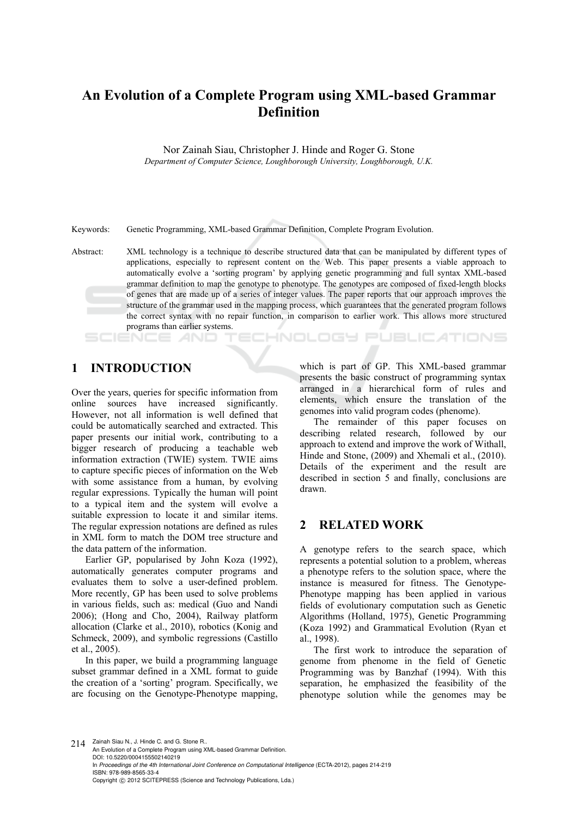# **An Evolution of a Complete Program using XML-based Grammar Definition**

Nor Zainah Siau, Christopher J. Hinde and Roger G. Stone *Department of Computer Science, Loughborough University, Loughborough, U.K.* 

Keywords: Genetic Programming, XML-based Grammar Definition, Complete Program Evolution.

Abstract: XML technology is a technique to describe structured data that can be manipulated by different types of applications, especially to represent content on the Web. This paper presents a viable approach to automatically evolve a 'sorting program' by applying genetic programming and full syntax XML-based grammar definition to map the genotype to phenotype. The genotypes are composed of fixed-length blocks of genes that are made up of a series of integer values. The paper reports that our approach improves the structure of the grammar used in the mapping process, which guarantees that the generated program follows the correct syntax with no repair function, in comparison to earlier work. This allows more structured programs than earlier systems.

## **ECHNOLOGY PUBLICATIONS**

### **1 INTRODUCTION**

Over the years, queries for specific information from online sources have increased significantly. However, not all information is well defined that could be automatically searched and extracted. This paper presents our initial work, contributing to a bigger research of producing a teachable web information extraction (TWIE) system. TWIE aims to capture specific pieces of information on the Web with some assistance from a human, by evolving regular expressions. Typically the human will point to a typical item and the system will evolve a suitable expression to locate it and similar items. The regular expression notations are defined as rules in XML form to match the DOM tree structure and the data pattern of the information.

Earlier GP, popularised by John Koza (1992), automatically generates computer programs and evaluates them to solve a user-defined problem. More recently, GP has been used to solve problems in various fields, such as: medical (Guo and Nandi 2006); (Hong and Cho, 2004), Railway platform allocation (Clarke et al., 2010), robotics (Konig and Schmeck, 2009), and symbolic regressions (Castillo et al., 2005).

In this paper, we build a programming language subset grammar defined in a XML format to guide the creation of a 'sorting' program. Specifically, we are focusing on the Genotype-Phenotype mapping,

which is part of GP. This XML-based grammar presents the basic construct of programming syntax arranged in a hierarchical form of rules and elements, which ensure the translation of the genomes into valid program codes (phenome).

The remainder of this paper focuses on describing related research, followed by our approach to extend and improve the work of Withall, Hinde and Stone, (2009) and Xhemali et al., (2010). Details of the experiment and the result are described in section 5 and finally, conclusions are drawn.

### **2 RELATED WORK**

A genotype refers to the search space, which represents a potential solution to a problem, whereas a phenotype refers to the solution space, where the instance is measured for fitness. The Genotype-Phenotype mapping has been applied in various fields of evolutionary computation such as Genetic Algorithms (Holland, 1975), Genetic Programming (Koza 1992) and Grammatical Evolution (Ryan et al., 1998).

The first work to introduce the separation of genome from phenome in the field of Genetic Programming was by Banzhaf (1994). With this separation, he emphasized the feasibility of the phenotype solution while the genomes may be

214 Zainah Siau N., J. Hinde C. and G. Stone R. An Evolution of a Complete Program using XML-based Grammar Definition. DOI: 10.5220/0004155502140219 In *Proceedings of the 4th International Joint Conference on Computational Intelligence* (ECTA-2012), pages 214-219 ISBN: 978-989-8565-33-4 Copyright © 2012 SCITEPRESS (Science and Technology Publications, Lda.)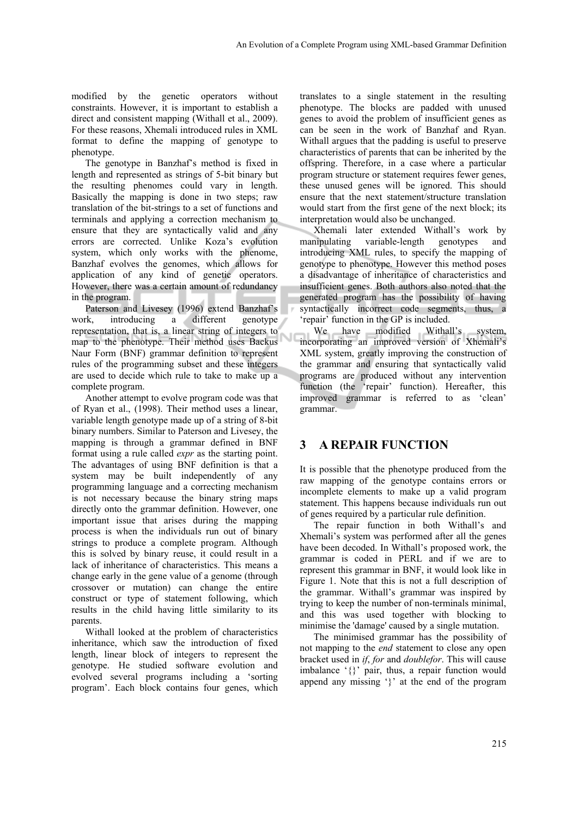modified by the genetic operators without constraints. However, it is important to establish a direct and consistent mapping (Withall et al., 2009). For these reasons, Xhemali introduced rules in XML format to define the mapping of genotype to phenotype.

The genotype in Banzhaf's method is fixed in length and represented as strings of 5-bit binary but the resulting phenomes could vary in length. Basically the mapping is done in two steps; raw translation of the bit-strings to a set of functions and terminals and applying a correction mechanism to ensure that they are syntactically valid and any errors are corrected. Unlike Koza's evolution system, which only works with the phenome, Banzhaf evolves the genomes, which allows for application of any kind of genetic operators. However, there was a certain amount of redundancy in the program.

Paterson and Livesey (1996) extend Banzhaf's work, introducing a different genotype representation, that is, a linear string of integers to map to the phenotype. Their method uses Backus Naur Form (BNF) grammar definition to represent rules of the programming subset and these integers are used to decide which rule to take to make up a complete program.

Another attempt to evolve program code was that of Ryan et al., (1998). Their method uses a linear, variable length genotype made up of a string of 8-bit binary numbers. Similar to Paterson and Livesey, the mapping is through a grammar defined in BNF format using a rule called *expr* as the starting point. The advantages of using BNF definition is that a system may be built independently of any programming language and a correcting mechanism is not necessary because the binary string maps directly onto the grammar definition. However, one important issue that arises during the mapping process is when the individuals run out of binary strings to produce a complete program. Although this is solved by binary reuse, it could result in a lack of inheritance of characteristics. This means a change early in the gene value of a genome (through crossover or mutation) can change the entire construct or type of statement following, which results in the child having little similarity to its parents.

Withall looked at the problem of characteristics inheritance, which saw the introduction of fixed length, linear block of integers to represent the genotype. He studied software evolution and evolved several programs including a 'sorting program'. Each block contains four genes, which

translates to a single statement in the resulting phenotype. The blocks are padded with unused genes to avoid the problem of insufficient genes as can be seen in the work of Banzhaf and Ryan. Withall argues that the padding is useful to preserve characteristics of parents that can be inherited by the offspring. Therefore, in a case where a particular program structure or statement requires fewer genes, these unused genes will be ignored. This should ensure that the next statement/structure translation would start from the first gene of the next block; its interpretation would also be unchanged.

Xhemali later extended Withall's work by manipulating variable-length genotypes and introducing XML rules, to specify the mapping of genotype to phenotype. However this method poses a disadvantage of inheritance of characteristics and insufficient genes. Both authors also noted that the generated program has the possibility of having syntactically incorrect code segments, thus, a 'repair' function in the GP is included.

We have modified Withall's system, incorporating an improved version of Xhemali's XML system, greatly improving the construction of the grammar and ensuring that syntactically valid programs are produced without any intervention function (the 'repair' function). Hereafter, this improved grammar is referred to as 'clean' grammar.

## **3 A REPAIR FUNCTION**

It is possible that the phenotype produced from the raw mapping of the genotype contains errors or incomplete elements to make up a valid program statement. This happens because individuals run out of genes required by a particular rule definition.

The repair function in both Withall's and Xhemali's system was performed after all the genes have been decoded. In Withall's proposed work, the grammar is coded in PERL and if we are to represent this grammar in BNF, it would look like in Figure 1. Note that this is not a full description of the grammar. Withall's grammar was inspired by trying to keep the number of non-terminals minimal, and this was used together with blocking to minimise the 'damage' caused by a single mutation.

The minimised grammar has the possibility of not mapping to the *end* statement to close any open bracket used in *if*, *for* and *doublefor*. This will cause imbalance '{}' pair, thus, a repair function would append any missing '}' at the end of the program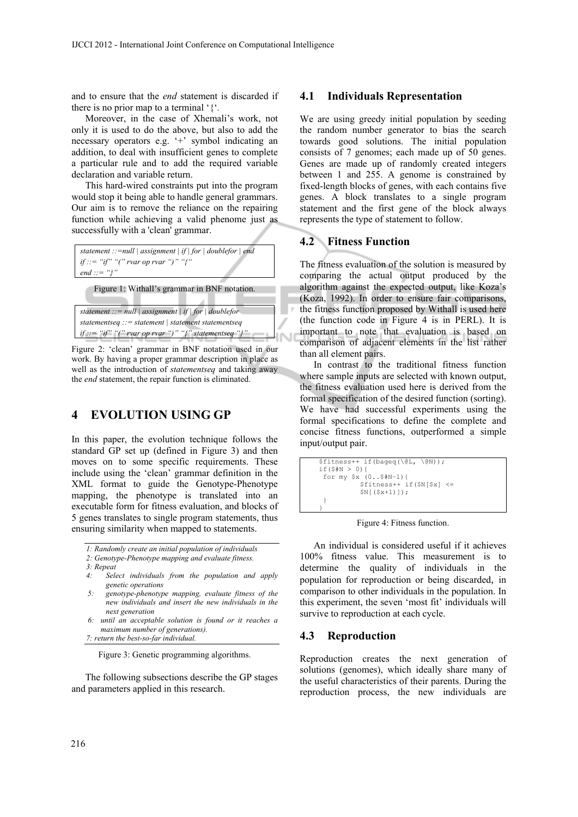and to ensure that the *end* statement is discarded if there is no prior map to a terminal '{'*.*

Moreover, in the case of Xhemali's work, not only it is used to do the above, but also to add the necessary operators e.g. '+' symbol indicating an addition, to deal with insufficient genes to complete a particular rule and to add the required variable declaration and variable return.

This hard-wired constraints put into the program would stop it being able to handle general grammars. Our aim is to remove the reliance on the repairing function while achieving a valid phenome just as successfully with a 'clean' grammar.



Figure 1: Withall's grammar in BNF notation.

```
statement ::= null | assignment | if | for | doublefor 
statementseq ::= statement | statement statementseq 
if ::= "if" "(" rvar op rvar ")" "{" statementseq "}"
```
Figure 2: 'clean' grammar in BNF notation used in our work. By having a proper grammar description in place as well as the introduction of *statementseq* and taking away the *end* statement, the repair function is eliminated.

## **4 EVOLUTION USING GP**

In this paper, the evolution technique follows the standard GP set up (defined in Figure 3) and then moves on to some specific requirements. These include using the 'clean' grammar definition in the XML format to guide the Genotype-Phenotype mapping, the phenotype is translated into an executable form for fitness evaluation, and blocks of 5 genes translates to single program statements, thus ensuring similarity when mapped to statements.

*1: Randomly create an initial population of individuals* 

*2: Genotype-Phenotype mapping and evaluate fitness.* 

- *3: Repeat*
- *4: Select individuals from the population and apply genetic operations*
- *5: genotype-phenotype mapping, evaluate fitness of the new individuals and insert the new individuals in the next generation*
- *6: until an acceptable solution is found or it reaches a maximum number of generations).*

*7: return the best-so-far individual.*

Figure 3: Genetic programming algorithms.

The following subsections describe the GP stages and parameters applied in this research.

#### **4.1 Individuals Representation**

We are using greedy initial population by seeding the random number generator to bias the search towards good solutions. The initial population consists of 7 genomes; each made up of 50 genes. Genes are made up of randomly created integers between 1 and 255. A genome is constrained by fixed-length blocks of genes, with each contains five genes. A block translates to a single program statement and the first gene of the block always represents the type of statement to follow.

### **4.2 Fitness Function**

The fitness evaluation of the solution is measured by comparing the actual output produced by the algorithm against the expected output, like Koza's (Koza, 1992). In order to ensure fair comparisons, the fitness function proposed by Withall is used here (the function code in Figure 4 is in PERL). It is important to note that evaluation is based on comparison of adjacent elements in the list rather than all element pairs.

In contrast to the traditional fitness function where sample inputs are selected with known output, the fitness evaluation used here is derived from the formal specification of the desired function (sorting). We have had successful experiments using the formal specifications to define the complete and concise fitness functions, outperformed a simple input/output pair.

```
$fitness++ if(bageq(\@L, \@N)); 
if(S#N > 0){
 for my $x (0..$#N−1){ 
$fitness++ if($N[$x] <= 
            $N[ ($x+1)]);
 } 
}
```
Figure 4: Fitness function.

An individual is considered useful if it achieves 100% fitness value. This measurement is to determine the quality of individuals in the population for reproduction or being discarded, in comparison to other individuals in the population. In this experiment, the seven 'most fit' individuals will survive to reproduction at each cycle.

#### **4.3 Reproduction**

Reproduction creates the next generation of solutions (genomes), which ideally share many of the useful characteristics of their parents. During the reproduction process, the new individuals are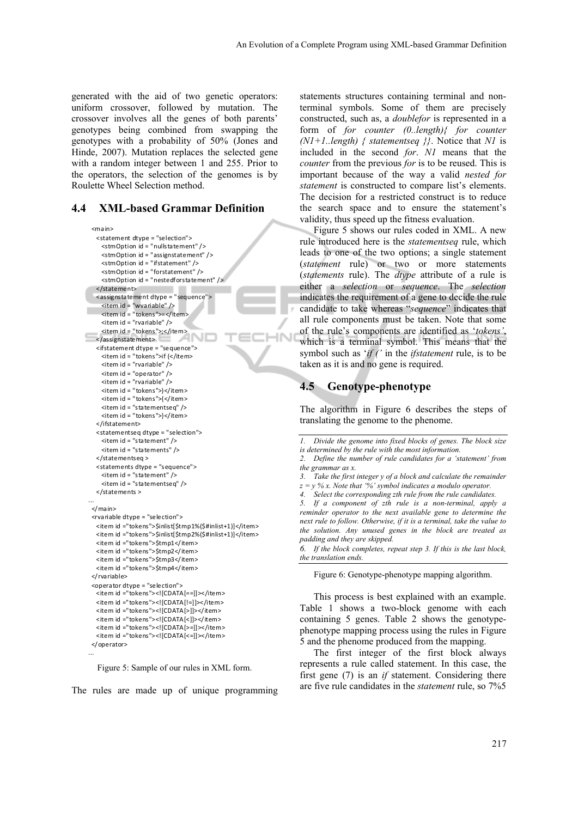generated with the aid of two genetic operators: uniform crossover, followed by mutation. The crossover involves all the genes of both parents' genotypes being combined from swapping the genotypes with a probability of 50% (Jones and Hinde, 2007). Mutation replaces the selected gene with a random integer between 1 and 255. Prior to the operators, the selection of the genomes is by Roulette Wheel Selection method.

#### **4.4 XML-based Grammar Definition**

```
<main>     <statement dtype = "selection">
            <stmOption id = "nulls ta tement" />
        <stmOption id = "assignstatement" />
        <stmOption id = "ifstatement" />  
            <stmOption id = " forstatement" />
            <stmOption id = "nestedforsta tement" />
       </statement>
  <as signs ta tement dtype = "sequence">
        <item id = "wva riable" />
        <item id = "tokens">=</item>
        <item id = "rva riable" />
        <item id = "tokens">;</item>
      </assignstatement>
       <ifstatement dtype = "sequence">
    \leitem id = "tokens">if \le/item>
    \text{times} item id = "rvariable" \text{/}        <item id = "opera tor" />
            <item id = "rva riable" />
            <item id = "tokens">)</item>
    \langleitem id = "tokens">\langleitem>
            <item id = "s ta tementseq" />
    <item id = "tokens">}</item>
       </ifstatement>
       <statementseq dtype = "selection">
    \leitem id = "statement" />
    \leitem id = "statements" />
       </statementseq >
       <statements dtype = "sequence">
    \leitem id = "statement" />
            <item id = "s ta tementseq" />
  </statements >
...
  </main>
   <rva riable dtype = "selection">
  <item id ="tokens">$inlist[$tmp1%($#inlist+1)]</item>
  <item id ="tokens">$inlist[$tmp2%($#inlist+1)]</item>
  <item id ="tokens">$tmp1</item>
       <item id ="tokens">$tmp2</item>
       <item id ="tokens">$tmp3</item>
  <item id ="tokens">$tmp4</item>
   </ rva riable>
   <opera tor dtype = "selection">
       <item id ="tokens"><![CDATA [==]]></item>
       <item id ="tokens"><![CDATA [!=]]></item>
       <item id ="tokens"><![CDATA [>]]></item>
  <item id ="tokens"><![CDATA [<]]></item>
       <item id ="tokens"><![CDATA [>=]]></item>
  <item id ="tokens"><![CDATA [<=]]></item>
  </operator>
```
Figure 5: Sample of our rules in XML form.

...

The rules are made up of unique programming

statements structures containing terminal and nonterminal symbols. Some of them are precisely constructed, such as, a *doublefor* is represented in a form of *for counter (0..length){ for counter (N1+1..length) { statementseq }}*. Notice that *N1* is included in the second *for*. *N1* means that the *counter* from the previous *for* is to be reused. This is important because of the way a valid *nested for statement* is constructed to compare list's elements. The decision for a restricted construct is to reduce the search space and to ensure the statement's validity, thus speed up the fitness evaluation.

Figure 5 shows our rules coded in XML. A new rule introduced here is the *statementseq* rule, which leads to one of the two options; a single statement (*statement* rule) or two or more statements (*statements* rule). The *dtype* attribute of a rule is either a *selection* or *sequence*. The *selection* indicates the requirement of a gene to decide the rule candidate to take whereas "*sequence*" indicates that all rule components must be taken. Note that some of the rule's components are identified as '*tokens'*, which is a terminal symbol. This means that the symbol such as '*if ('* in the *ifstatement* rule, is to be taken as it is and no gene is required.

### **4.5 Genotype-phenotype**

**IN** 

The algorithm in Figure 6 describes the steps of translating the genome to the phenome.

*6. If the block completes, repeat step 3. If this is the last block, the translation ends.*

Figure 6: Genotype-phenotype mapping algorithm.

This process is best explained with an example. Table 1 shows a two-block genome with each containing 5 genes. Table 2 shows the genotypephenotype mapping process using the rules in Figure 5 and the phenome produced from the mapping.

The first integer of the first block always represents a rule called statement. In this case, the first gene (7) is an *if* statement. Considering there are five rule candidates in the *statement* rule, so 7%5

*<sup>1.</sup> Divide the genome into fixed blocks of genes. The block size is determined by the rule with the most information.* 

*<sup>2.</sup> Define the number of rule candidates for a 'statement' from* 

*the grammar as x.* 

*<sup>3.</sup> Take the first integer y of a block and calculate the remainder*   $z = v\% x$ . Note that '%' symbol indicates a modulo operator.

*<sup>4.</sup> Select the corresponding zth rule from the rule candidates.* 

*<sup>5.</sup> If a component of zth rule is a non-terminal, apply a reminder operator to the next available gene to determine the next rule to follow. Otherwise, if it is a terminal, take the value to the solution. Any unused genes in the block are treated as padding and they are skipped.*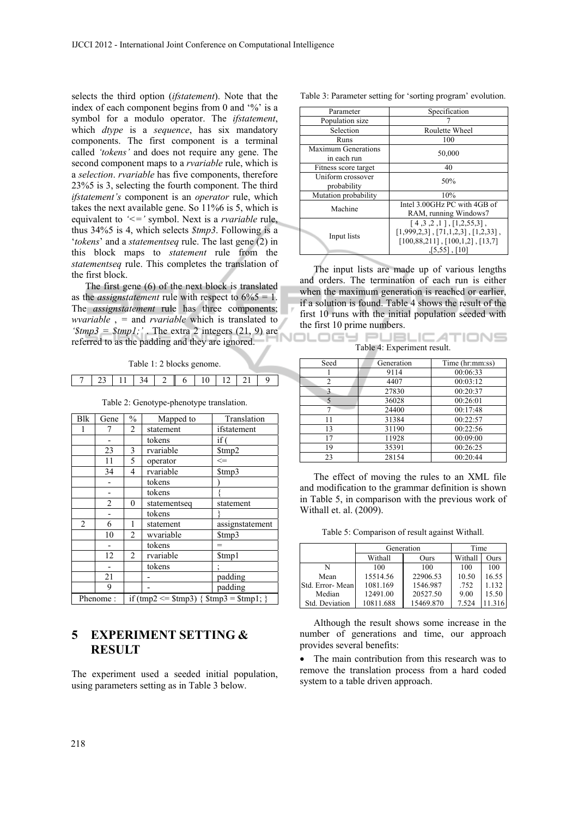selects the third option (*ifstatement*). Note that the index of each component begins from 0 and '%' is a symbol for a modulo operator. The *ifstatement*, which *dtype* is a *sequence*, has six mandatory components. The first component is a terminal called *'tokens'* and does not require any gene. The second component maps to a *rvariable* rule, which is a *selection*. *rvariable* has five components, therefore 23%5 is 3, selecting the fourth component. The third *ifstatement's* component is an *operator* rule, which takes the next available gene. So 11%6 is 5, which is equivalent to *'<='* symbol. Next is a *rvariable* rule, thus 34%5 is 4, which selects *\$tmp3*. Following is a '*tokens*' and a *statementseq* rule. The last gene (2) in this block maps to *statement* rule from the *statementseq* rule. This completes the translation of the first block.

The first gene (6) of the next block is translated as the *assignstatement* rule with respect to  $6\%5 = 1$ . The *assignstatement* rule has three components; *wvariable* , *=* and *rvariable* which is translated to  $\mathscr{E}(\mathscr{F}) = \mathscr{E}(\mathscr{F})$ . The extra 2 integers (21, 9) are referred to as the padding and they are ignored.

Table 1: 2 blocks genome.

|  |  | $\mathbf{r}$ |  |  |
|--|--|--------------|--|--|
|  |  |              |  |  |

| Table 2: Genotype-phenotype translation. |  |
|------------------------------------------|--|
|------------------------------------------|--|

| <b>Blk</b>     | Gene           | $\%$                                      | Mapped to    | Translation     |
|----------------|----------------|-------------------------------------------|--------------|-----------------|
|                |                | $\overline{c}$                            | statement    | ifstatement     |
|                |                |                                           | tokens       | if (            |
|                | 23             | 3                                         | rvariable    | \$tmp2          |
|                | 11             | 5                                         | operator     | $\leq$          |
|                | 34             | 4                                         | rvariable    | \$tmp3          |
|                |                |                                           | tokens       |                 |
|                |                |                                           | tokens       |                 |
|                | $\overline{c}$ | $\mathbf{0}$                              | statementseq | statement       |
|                |                |                                           | tokens       |                 |
| $\overline{2}$ | 6              | 1                                         | statement    | assignstatement |
|                | 10             | $\overline{2}$                            | wvariable    | \$tmp3          |
|                |                |                                           | tokens       | $=$             |
|                | 12             | $\overline{2}$                            | rvariable    | \$tmp1          |
|                |                |                                           | tokens       |                 |
|                | 21             |                                           |              | padding         |
|                | 9              |                                           |              | padding         |
| Phenome:       |                | if (tmp2 <= $$tmp3) {$ \$tmp3 = $$tmp1;}$ |              |                 |

## **5 EXPERIMENT SETTING & RESULT**

The experiment used a seeded initial population, using parameters setting as in Table 3 below.

| Table 3: Parameter setting for 'sorting program' evolution. |  |  |
|-------------------------------------------------------------|--|--|
|-------------------------------------------------------------|--|--|

| Parameter                                 | Specification                                                                                                                                          |
|-------------------------------------------|--------------------------------------------------------------------------------------------------------------------------------------------------------|
| Population size                           |                                                                                                                                                        |
| Selection                                 | Roulette Wheel                                                                                                                                         |
| Runs                                      | 100                                                                                                                                                    |
| <b>Maximum Generations</b><br>in each run | 50,000                                                                                                                                                 |
| Fitness score target                      | 40                                                                                                                                                     |
| Uniform crossover<br>probability          | 50%                                                                                                                                                    |
| Mutation probability                      | 10%                                                                                                                                                    |
| Machine                                   | Intel 3.00GHz PC with 4GB of<br>RAM, running Windows7                                                                                                  |
| Input lists                               | $[4,3,2,1]$ , $[1,2,55,3]$ ,<br>$[1,999,2,3]$ , $[71,1,2,3]$ , $[1,2,33]$ ,<br>$[100, 88, 211]$ , $[100, 1, 2]$ , $[13, 7]$<br>$\sqrt{5,55}$ ,<br>[10] |

The input lists are made up of various lengths and orders. The termination of each run is either when the maximum generation is reached or earlier, if a solution is found. Table 4 shows the result of the first 10 runs with the initial population seeded with the first 10 prime numbers.

**ILOGY PUBLICATIONS** Table 4: Experiment result.

| Seed           | Generation | Time (hr:mm:ss) |  |
|----------------|------------|-----------------|--|
|                | 9114       | 00:06:33        |  |
| 2              | 4407       | 00:03:12        |  |
| $\overline{a}$ | 27830      | 00:20:37        |  |
|                | 36028      | 00:26:01        |  |
|                | 24400      | 00:17:48        |  |
| 11             | 31384      | 00:22:57        |  |
| 13             | 31190      | 00:22:56        |  |
| 17             | 11928      | 00:09:00        |  |
| 19             | 35391      | 00:26:25        |  |
| 23             | 28154      | 00:20:44        |  |

The effect of moving the rules to an XML file and modification to the grammar definition is shown in Table 5, in comparison with the previous work of Withall et. al. (2009).

Table 5: Comparison of result against Withall.

|                 | Generation | Time      |         |       |
|-----------------|------------|-----------|---------|-------|
|                 | Withall    | Ours      | Withall | Ours  |
| N               | 100        | 100       | 100     | 100   |
| Mean            | 15514.56   | 22906.53  | 10.50   | 16.55 |
| Std. Error-Mean | 1081.169   | 1546.987  | .752    | 1.132 |
| Median          | 12491.00   | 20527.50  | 9.00    | 15.50 |
| Std. Deviation  | 10811.688  | 15469.870 | 7.524   |       |

Although the result shows some increase in the number of generations and time, our approach provides several benefits:

 The main contribution from this research was to remove the translation process from a hard coded system to a table driven approach.